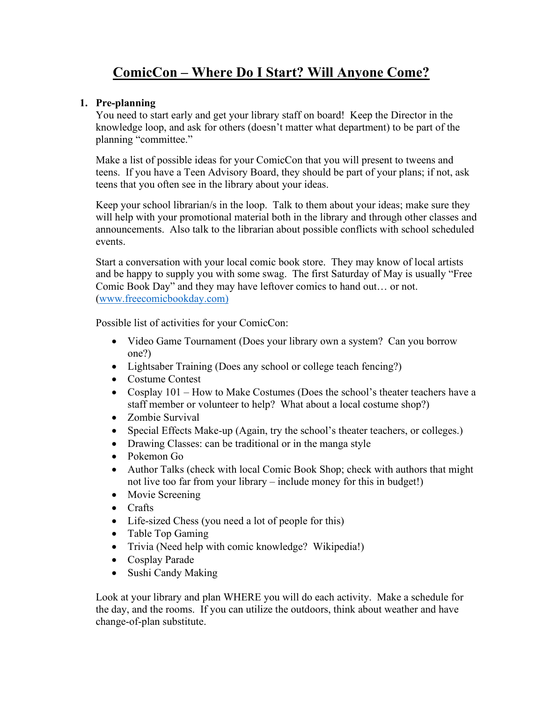## **ComicCon – Where Do I Start? Will Anyone Come?**

## **1. Pre-planning**

You need to start early and get your library staff on board! Keep the Director in the knowledge loop, and ask for others (doesn't matter what department) to be part of the planning "committee."

Make a list of possible ideas for your ComicCon that you will present to tweens and teens. If you have a Teen Advisory Board, they should be part of your plans; if not, ask teens that you often see in the library about your ideas.

Keep your school librarian/s in the loop. Talk to them about your ideas; make sure they will help with your promotional material both in the library and through other classes and announcements. Also talk to the librarian about possible conflicts with school scheduled events.

Start a conversation with your local comic book store. They may know of local artists and be happy to supply you with some swag. The first Saturday of May is usually "Free Comic Book Day" and they may have leftover comics to hand out… or not. [\(www.freecomicbookday.com\)](http://www.freecomicbookday.com)/)

Possible list of activities for your ComicCon:

- Video Game Tournament (Does your library own a system? Can you borrow one?)
- Lightsaber Training (Does any school or college teach fencing?)
- Costume Contest
- Cosplay 101 How to Make Costumes (Does the school's theater teachers have a staff member or volunteer to help? What about a local costume shop?)
- Zombie Survival
- Special Effects Make-up (Again, try the school's theater teachers, or colleges.)
- Drawing Classes: can be traditional or in the manga style
- Pokemon Go
- Author Talks (check with local Comic Book Shop; check with authors that might not live too far from your library – include money for this in budget!)
- Movie Screening
- Crafts
- Life-sized Chess (you need a lot of people for this)
- Table Top Gaming
- Trivia (Need help with comic knowledge? Wikipedia!)
- Cosplay Parade
- Sushi Candy Making

Look at your library and plan WHERE you will do each activity. Make a schedule for the day, and the rooms. If you can utilize the outdoors, think about weather and have change-of-plan substitute.